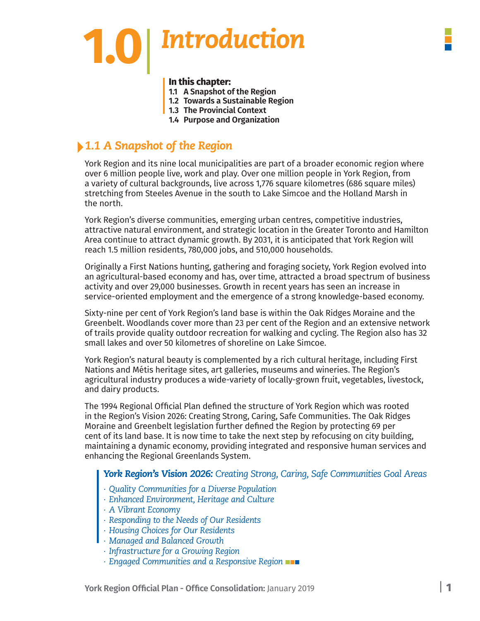# **1.0**|*Introduction*

#### **In this chapter:**

- **1.1 A Snapshot of the Region**
- **1.2 Towards a Sustainable Region**
- **1.3 The Provincial Context**
- **1.4 Purpose and Organization**

# *1.1 A Snapshot of the Region*

York Region and its nine local municipalities are part of a broader economic region where over 6 million people live, work and play. Over one million people in York Region, from a variety of cultural backgrounds, live across 1,776 square kilometres (686 square miles) stretching from Steeles Avenue in the south to Lake Simcoe and the Holland Marsh in the north.

York Region's diverse communities, emerging urban centres, competitive industries, attractive natural environment, and strategic location in the Greater Toronto and Hamilton Area continue to attract dynamic growth. By 2031, it is anticipated that York Region will reach 1.5 million residents, 780,000 jobs, and 510,000 households.

Originally a First Nations hunting, gathering and foraging society, York Region evolved into an agricultural-based economy and has, over time, attracted a broad spectrum of business activity and over 29,000 businesses. Growth in recent years has seen an increase in service-oriented employment and the emergence of a strong knowledge-based economy.

Sixty-nine per cent of York Region's land base is within the Oak Ridges Moraine and the Greenbelt. Woodlands cover more than 23 per cent of the Region and an extensive network of trails provide quality outdoor recreation for walking and cycling. The Region also has 32 small lakes and over 50 kilometres of shoreline on Lake Simcoe.

York Region's natural beauty is complemented by a rich cultural heritage, including First Nations and Métis heritage sites, art galleries, museums and wineries. The Region's agricultural industry produces a wide-variety of locally-grown fruit, vegetables, livestock, and dairy products.

The 1994 Regional Official Plan defined the structure of York Region which was rooted in the Region's Vision 2026: Creating Strong, Caring, Safe Communities. The Oak Ridges Moraine and Greenbelt legislation further defined the Region by protecting 69 per cent of its land base. It is now time to take the next step by refocusing on city building, maintaining a dynamic economy, providing integrated and responsive human services and enhancing the Regional Greenlands System.

### *York Region's Vision 2026: Creating Strong, Caring, Safe Communities Goal Areas*

- *∙ Quality Communities for a Diverse Population*
- *∙ Enhanced Environment, Heritage and Culture*
- *∙ A Vibrant Economy*
- *∙ Responding to the Needs of Our Residents*
- *∙ Housing Choices for Our Residents*
- *∙ Managed and Balanced Growth*
- *∙ Infrastructure for a Growing Region*
- *∙ Engaged Communities and a Responsive Region*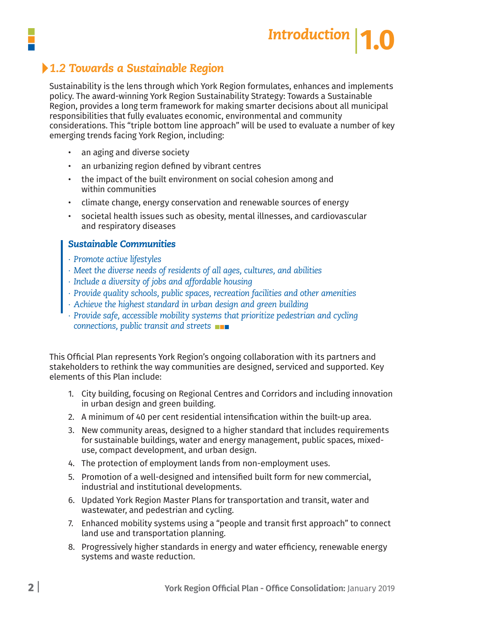

# *1.2 Towards a Sustainable Region*

Sustainability is the lens through which York Region formulates, enhances and implements policy. The award-winning York Region Sustainability Strategy: Towards a Sustainable Region, provides a long term framework for making smarter decisions about all municipal responsibilities that fully evaluates economic, environmental and community considerations. This "triple bottom line approach" will be used to evaluate a number of key emerging trends facing York Region, including:

- an aging and diverse society
- an urbanizing region defined by vibrant centres
- the impact of the built environment on social cohesion among and within communities
- climate change, energy conservation and renewable sources of energy
- societal health issues such as obesity, mental illnesses, and cardiovascular and respiratory diseases

#### *Sustainable Communities*

- *∙ Promote active lifestyles*
- *∙ Meet the diverse needs of residents of all ages, cultures, and abilities*
- *∙ Include a diversity of jobs and affordable housing*
- *∙ Provide quality schools, public spaces, recreation facilities and other amenities*
- *∙ Achieve the highest standard in urban design and green building*
- *∙ Provide safe, accessible mobility systems that prioritize pedestrian and cycling connections, public transit and streets*

This Official Plan represents York Region's ongoing collaboration with its partners and stakeholders to rethink the way communities are designed, serviced and supported. Key elements of this Plan include:

- 1. City building, focusing on Regional Centres and Corridors and including innovation in urban design and green building.
- 2. A minimum of 40 per cent residential intensification within the built-up area.
- 3. New community areas, designed to a higher standard that includes requirements for sustainable buildings, water and energy management, public spaces, mixed use, compact development, and urban design.
- 4. The protection of employment lands from non-employment uses.
- 5. Promotion of a well-designed and intensified built form for new commercial, industrial and institutional developments.
- 6. Updated York Region Master Plans for transportation and transit, water and wastewater, and pedestrian and cycling.
- 7. Enhanced mobility systems using a "people and transit first approach" to connect land use and transportation planning.
- 8. Progressively higher standards in energy and water efficiency, renewable energy systems and waste reduction.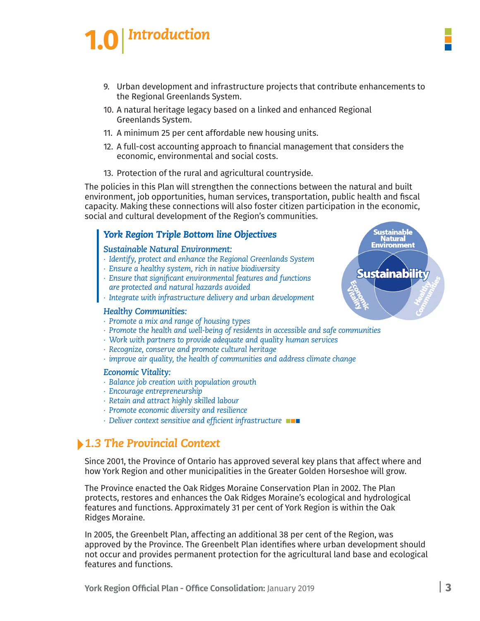# *Introduction* **1.0**|

- 9. Urban development and infrastructure projects that contribute enhancements to the Regional Greenlands System.
- 10. A natural heritage legacy based on a linked and enhanced Regional Greenlands System.
- 11. A minimum 25 per cent affordable new housing units.
- 12. A full-cost accounting approach to financial management that considers the economic, environmental and social costs.
- 13. Protection of the rural and agricultural countryside.

The policies in this Plan will strengthen the connections between the natural and built environment, job opportunities, human services, transportation, public health and fiscal capacity. Making these connections will also foster citizen participation in the economic, social and cultural development of the Region's communities.

### *York Region Triple Bottom line Objectives*

#### *Sustainable Natural Environment:*

- *∙ Identify, protect and enhance the Regional Greenlands System*
- *∙ Ensure a healthy system, rich in native biodiversity*
- *∙ Ensure that significant environmental features and functions are protected and natural hazards avoided*
- *∙ Integrate with infrastructure delivery and urban development*

#### *Healthy Communities:*

- *∙ Promote a mix and range of housing types*
- *∙ Promote the health and well-being of residents in accessible and safe communities*
- *∙ Work with partners to provide adequate and quality human services*
- *∙ Recognize, conserve and promote cultural heritage*
- *∙ improve air quality, the health of communities and address climate change*

#### *Economic Vitality:*

- *∙ Balance job creation with population growth*
- *∙ Encourage entrepreneurship*
- *∙ Retain and attract highly skilled labour*
- *∙ Promote economic diversity and resilience*
- *∙ Deliver context sensitive and efficient infrastructure*

# *1.3 The Provincial Context*

Since 2001, the Province of Ontario has approved several key plans that affect where and how York Region and other municipalities in the Greater Golden Horseshoe will grow.

The Province enacted the Oak Ridges Moraine Conservation Plan in 2002. The Plan protects, restores and enhances the Oak Ridges Moraine's ecological and hydrological features and functions. Approximately 31 per cent of York Region is within the Oak Ridges Moraine.

In 2005, the Greenbelt Plan, affecting an additional 38 per cent of the Region, was approved by the Province. The Greenbelt Plan identifies where urban development should not occur and provides permanent protection for the agricultural land base and ecological features and functions.

**Sustainable Natural Environment** 

**Sustainability**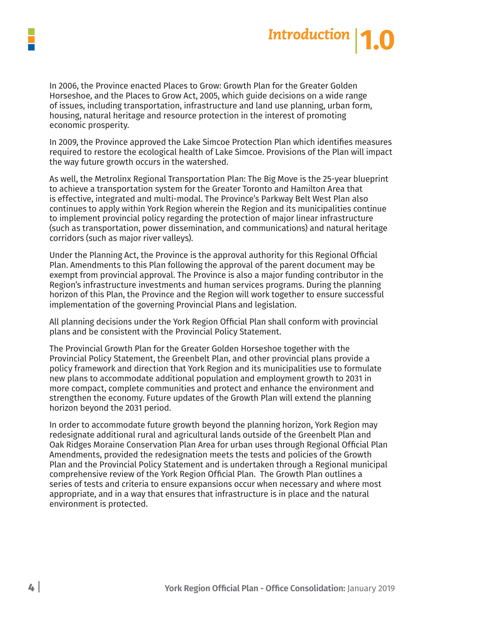



In 2006, the Province enacted Places to Grow: Growth Plan for the Greater Golden Horseshoe, and the Places to Grow Act, 2005, which guide decisions on a wide range of issues, including transportation, infrastructure and land use planning, urban form, housing, natural heritage and resource protection in the interest of promoting economic prosperity.

In 2009, the Province approved the Lake Simcoe Protection Plan which identifies measures required to restore the ecological health of Lake Simcoe. Provisions of the Plan will impact the way future growth occurs in the watershed.

As well, the Metrolinx Regional Transportation Plan: The Big Move is the 25-year blueprint to achieve a transportation system for the Greater Toronto and Hamilton Area that is effective, integrated and multi-modal. The Province's Parkway Belt West Plan also continues to apply within York Region wherein the Region and its municipalities continue to implement provincial policy regarding the protection of major linear infrastructure (such as transportation, power dissemination, and communications) and natural heritage corridors (such as major river valleys).

Under the Planning Act, the Province is the approval authority for this Regional Official Plan. Amendments to this Plan following the approval of the parent document may be exempt from provincial approval. The Province is also a major funding contributor in the Region's infrastructure investments and human services programs. During the planning horizon of this Plan, the Province and the Region will work together to ensure successful implementation of the governing Provincial Plans and legislation.

All planning decisions under the York Region Official Plan shall conform with provincial plans and be consistent with the Provincial Policy Statement.

The Provincial Growth Plan for the Greater Golden Horseshoe together with the Provincial Policy Statement, the Greenbelt Plan, and other provincial plans provide a policy framework and direction that York Region and its municipalities use to formulate new plans to accommodate additional population and employment growth to 2031 in more compact, complete communities and protect and enhance the environment and strengthen the economy. Future updates of the Growth Plan will extend the planning horizon beyond the 2031 period.

In order to accommodate future growth beyond the planning horizon, York Region may redesignate additional rural and agricultural lands outside of the Greenbelt Plan and Oak Ridges Moraine Conservation Plan Area for urban uses through Regional Official Plan Amendments, provided the redesignation meets the tests and policies of the Growth Plan and the Provincial Policy Statement and is undertaken through a Regional municipal comprehensive review of the York Region Official Plan. The Growth Plan outlines a series of tests and criteria to ensure expansions occur when necessary and where most appropriate, and in a way that ensures that infrastructure is in place and the natural environment is protected.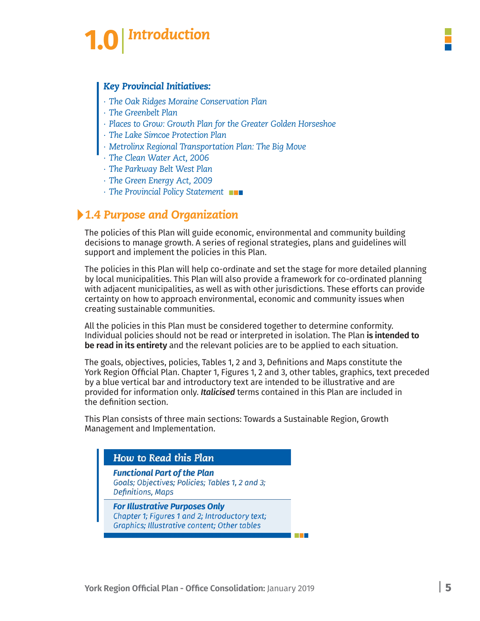# **Introduction**

#### *Key Provincial Initiatives:*

- *∙ The Oak Ridges Moraine Conservation Plan*
- *∙ The Greenbelt Plan*
- *∙ Places to Grow: Growth Plan for the Greater Golden Horseshoe*
- *∙ The Lake Simcoe Protection Plan*
- *∙ Metrolinx Regional Transportation Plan: The Big Move*
- *∙ The Clean Water Act, 2006*
- *∙ The Parkway Belt West Plan*
- *∙ The Green Energy Act, 2009*
- *∙ The Provincial Policy Statement*

# *1.4 Purpose and Organization*

The policies of this Plan will guide economic, environmental and community building decisions to manage growth. A series of regional strategies, plans and guidelines will support and implement the policies in this Plan.

The policies in this Plan will help co-ordinate and set the stage for more detailed planning by local municipalities. This Plan will also provide a framework for co-ordinated planning with adjacent municipalities, as well as with other jurisdictions. These efforts can provide certainty on how to approach environmental, economic and community issues when creating sustainable communities.

All the policies in this Plan must be considered together to determine conformity. Individual policies should not be read or interpreted in isolation. The Plan **is intended to be read in its entirety** and the relevant policies are to be applied to each situation.

The goals, objectives, policies, Tables 1, 2 and 3, Definitions and Maps constitute the York Region Official Plan. Chapter 1, Figures 1, 2 and 3, other tables, graphics, text preceded by a blue vertical bar and introductory text are intended to be illustrative and are provided for information only. *Italicised* terms contained in this Plan are included in the definition section.

This Plan consists of three main sections: Towards a Sustainable Region, Growth Management and Implementation.

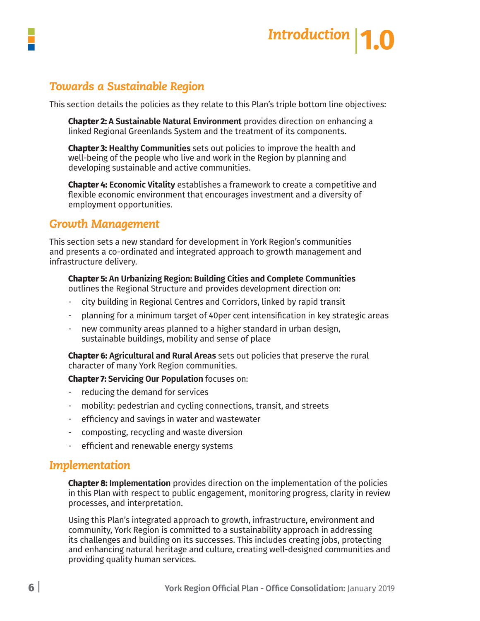

# *Towards a Sustainable Region*

This section details the policies as they relate to this Plan's triple bottom line objectives:

**Chapter 2: A Sustainable Natural Environment** provides direction on enhancing a linked Regional Greenlands System and the treatment of its components.

**Chapter 3: Healthy Communities** sets out policies to improve the health and well-being of the people who live and work in the Region by planning and developing sustainable and active communities.

**Chapter 4: Economic Vitality** establishes a framework to create a competitive and flexible economic environment that encourages investment and a diversity of employment opportunities.

## *Growth Management*

This section sets a new standard for development in York Region's communities and presents a co-ordinated and integrated approach to growth management and infrastructure delivery.

#### **Chapter 5: An Urbanizing Region: Building Cities and Complete Communities**  outlines the Regional Structure and provides development direction on:

- city building in Regional Centres and Corridors, linked by rapid transit

- planning for a minimum target of 40per cent intensification in key strategic areas
- new community areas planned to a higher standard in urban design, sustainable buildings, mobility and sense of place

**Chapter 6: Agricultural and Rural Areas** sets out policies that preserve the rural character of many York Region communities.

**Chapter 7: Servicing Our Population** focuses on:

- reducing the demand for services
- mobility: pedestrian and cycling connections, transit, and streets
- efficiency and savings in water and wastewater
- composting, recycling and waste diversion
- efficient and renewable energy systems

## *Implementation*

**Chapter 8: Implementation** provides direction on the implementation of the policies in this Plan with respect to public engagement, monitoring progress, clarity in review processes, and interpretation.

Using this Plan's integrated approach to growth, infrastructure, environment and community, York Region is committed to a sustainability approach in addressing its challenges and building on its successes. This includes creating jobs, protecting and enhancing natural heritage and culture, creating well-designed communities and providing quality human services.